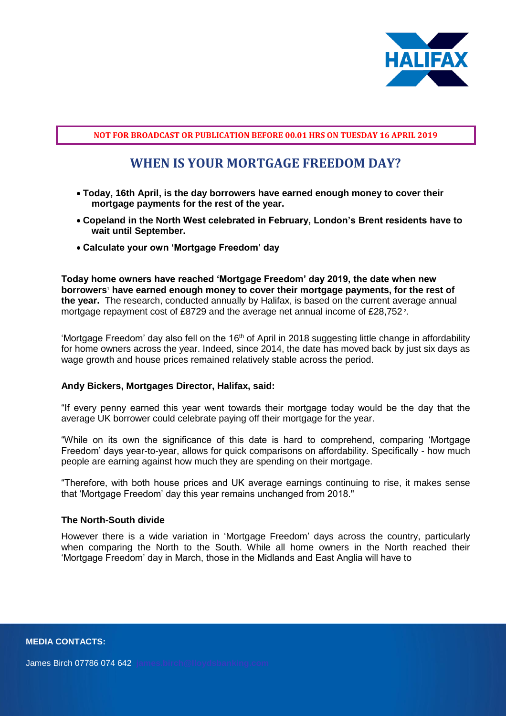

## **NOT FOR BROADCAST OR PUBLICATION BEFORE 00.01 HRS ON TUESDAY 16 APRIL 2019**

# **WHEN IS YOUR MORTGAGE FREEDOM DAY?**

- **Today, 16th April, is the day borrowers have earned enough money to cover their mortgage payments for the rest of the year.**
- **Copeland in the North West celebrated in February, London's Brent residents have to wait until September.**
- **Calculate your own 'Mortgage Freedom' day**

**Today home owners have reached 'Mortgage Freedom' day 2019, the date when new borrowers**<sup>1</sup> **have earned enough money to cover their mortgage payments, for the rest of the year.** The research, conducted annually by Halifax, is based on the current average annual mortgage repayment cost of £8729 and the average net annual income of £28,752<sup>2</sup>.

'Mortgage Freedom' day also fell on the 16<sup>th</sup> of April in 2018 suggesting little change in affordability for home owners across the year. Indeed, since 2014, the date has moved back by just six days as wage growth and house prices remained relatively stable across the period.

#### **Andy Bickers, Mortgages Director, Halifax, said:**

"If every penny earned this year went towards their mortgage today would be the day that the average UK borrower could celebrate paying off their mortgage for the year.

"While on its own the significance of this date is hard to comprehend, comparing 'Mortgage Freedom' days year-to-year, allows for quick comparisons on affordability. Specifically - how much people are earning against how much they are spending on their mortgage.

"Therefore, with both house prices and UK average earnings continuing to rise, it makes sense that 'Mortgage Freedom' day this year remains unchanged from 2018."

#### **The North-South divide**

However there is a wide variation in 'Mortgage Freedom' days across the country, particularly when comparing the North to the South. While all home owners in the North reached their 'Mortgage Freedom' day in March, those in the Midlands and East Anglia will have to

**MEDIA CONTACTS:**

James Birch 07786 074 642 **[james.birch@lloydsbanking.com](mailto:%20james.birch@lloydsbanking.com)**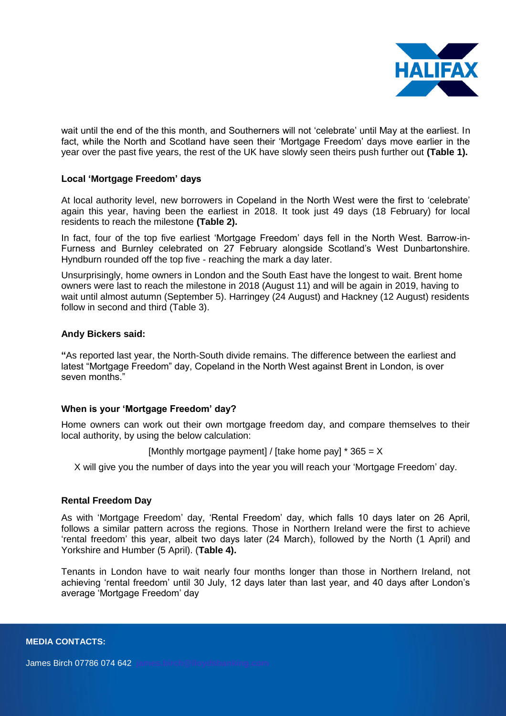

wait until the end of the this month, and Southerners will not 'celebrate' until May at the earliest. In fact, while the North and Scotland have seen their 'Mortgage Freedom' days move earlier in the year over the past five years, the rest of the UK have slowly seen theirs push further out **(Table 1).**

## **Local 'Mortgage Freedom' days**

At local authority level, new borrowers in Copeland in the North West were the first to 'celebrate' again this year, having been the earliest in 2018. It took just 49 days (18 February) for local residents to reach the milestone **(Table 2).**

In fact, four of the top five earliest 'Mortgage Freedom' days fell in the North West. Barrow-in-Furness and Burnley celebrated on 27 February alongside Scotland's West Dunbartonshire. Hyndburn rounded off the top five - reaching the mark a day later.

Unsurprisingly, home owners in London and the South East have the longest to wait. Brent home owners were last to reach the milestone in 2018 (August 11) and will be again in 2019, having to wait until almost autumn (September 5). Harringey (24 August) and Hackney (12 August) residents follow in second and third (Table 3).

### **Andy Bickers said:**

**"**As reported last year, the North-South divide remains. The difference between the earliest and latest "Mortgage Freedom" day, Copeland in the North West against Brent in London, is over seven months."

## **When is your 'Mortgage Freedom' day?**

Home owners can work out their own mortgage freedom day, and compare themselves to their local authority, by using the below calculation:

[Monthly mortgage payment] / [take home pay]  $*365 = X$ 

X will give you the number of days into the year you will reach your 'Mortgage Freedom' day.

#### **Rental Freedom Day**

As with 'Mortgage Freedom' day, 'Rental Freedom' day, which falls 10 days later on 26 April, follows a similar pattern across the regions. Those in Northern Ireland were the first to achieve 'rental freedom' this year, albeit two days later (24 March), followed by the North (1 April) and Yorkshire and Humber (5 April). (**Table 4).**

Tenants in London have to wait nearly four months longer than those in Northern Ireland, not achieving 'rental freedom' until 30 July, 12 days later than last year, and 40 days after London's average 'Mortgage Freedom' day

**MEDIA CONTACTS:**

James Birch 07786 074 642 **[james.birch@lloydsbanking.com](mailto:%20james.birch@lloydsbanking.com)**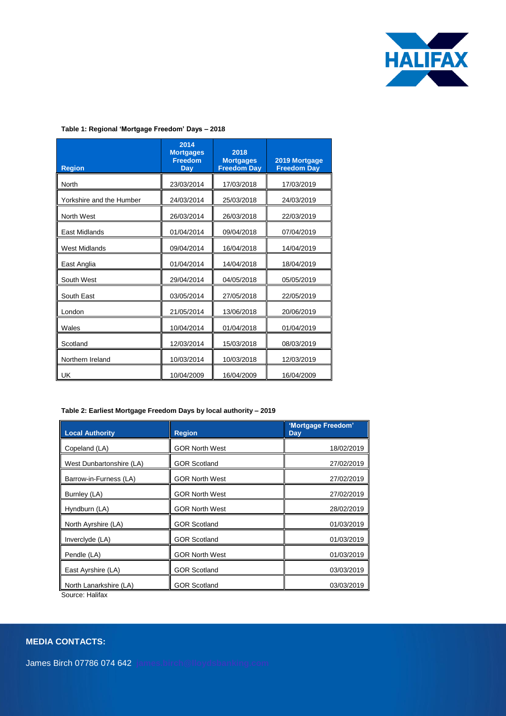

#### **Table 1: Regional 'Mortgage Freedom' Days – 2018**

| <b>Region</b>            | 2014<br><b>Mortgages</b><br><b>Freedom</b><br>Day | 2018<br><b>Mortgages</b><br><b>Freedom Day</b> | 2019 Mortgage<br><b>Freedom Day</b> |
|--------------------------|---------------------------------------------------|------------------------------------------------|-------------------------------------|
| <b>North</b>             | 23/03/2014                                        | 17/03/2018                                     | 17/03/2019                          |
| Yorkshire and the Humber | 24/03/2014                                        | 25/03/2018                                     | 24/03/2019                          |
| North West               | 26/03/2014                                        | 26/03/2018                                     | 22/03/2019                          |
| East Midlands            | 01/04/2014                                        | 09/04/2018                                     | 07/04/2019                          |
| <b>West Midlands</b>     | 09/04/2014                                        | 16/04/2018                                     | 14/04/2019                          |
| East Anglia              | 01/04/2014                                        | 14/04/2018                                     | 18/04/2019                          |
| South West               | 29/04/2014                                        | 04/05/2018                                     | 05/05/2019                          |
| South East               | 03/05/2014                                        | 27/05/2018                                     | 22/05/2019                          |
| London                   | 21/05/2014                                        | 13/06/2018                                     | 20/06/2019                          |
| Wales                    | 10/04/2014                                        | 01/04/2018                                     | 01/04/2019                          |
| Scotland                 | 12/03/2014                                        | 15/03/2018                                     | 08/03/2019                          |
| Northern Ireland         | 10/03/2014                                        | 10/03/2018                                     | 12/03/2019                          |
| UK                       | 10/04/2009                                        | 16/04/2009                                     | 16/04/2009                          |

#### **Table 2: Earliest Mortgage Freedom Days by local authority – 2019**

| <b>Local Authority</b>   | <b>Region</b>         | 'Mortgage Freedom'<br><b>Day</b> |
|--------------------------|-----------------------|----------------------------------|
| Copeland (LA)            | <b>GOR North West</b> | 18/02/2019                       |
| West Dunbartonshire (LA) | <b>GOR Scotland</b>   | 27/02/2019                       |
| Barrow-in-Furness (LA)   | <b>GOR North West</b> | 27/02/2019                       |
| Burnley (LA)             | <b>GOR North West</b> | 27/02/2019                       |
| Hyndburn (LA)            | <b>GOR North West</b> | 28/02/2019                       |
| North Ayrshire (LA)      | <b>GOR Scotland</b>   | 01/03/2019                       |
| Inverclyde (LA)          | <b>GOR Scotland</b>   | 01/03/2019                       |
| Pendle (LA)              | <b>GOR North West</b> | 01/03/2019                       |
| East Ayrshire (LA)       | <b>GOR Scotland</b>   | 03/03/2019                       |
| North Lanarkshire (LA)   | <b>GOR Scotland</b>   | 03/03/2019                       |

Source: Halifax

### **MEDIA CONTACTS:**

James Birch 07786 074 642 **[james.birch@lloydsbanking.com](mailto:%20james.birch@lloydsbanking.com)**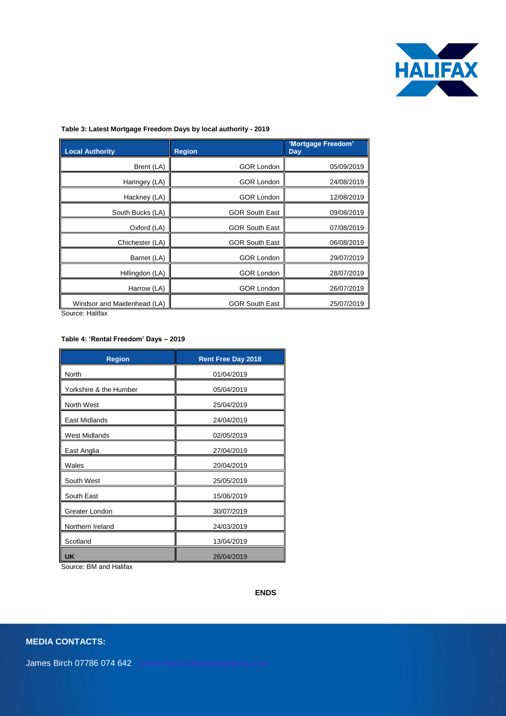

#### **Table 3: Latest Mortgage Freedom Days by local authority - 2019**

| Local Authority             | <b>Region</b>         | 'Mortgage Freedom'<br><b>Day</b> |
|-----------------------------|-----------------------|----------------------------------|
| Brent (LA)                  | <b>GOR London</b>     | 05/09/2019                       |
| Haringey (LA)               | <b>GOR London</b>     | 24/08/2019                       |
| Hackney (LA)                | <b>GOR London</b>     | 12/08/2019                       |
| South Bucks (LA)            | <b>GOR South East</b> | 09/08/2019                       |
| Oxford (LA)                 | <b>GOR South East</b> | 07/08/2019                       |
| Chichester (LA)             | <b>GOR South East</b> | 06/08/2019                       |
| Barnet (LA)                 | <b>GOR London</b>     | 29/07/2019                       |
| Hillingdon (LA)             | <b>GOR London</b>     | 28/07/2019                       |
| Harrow (LA)                 | <b>GOR London</b>     | 26/07/2019                       |
| Windsor and Maidenhead (LA) | <b>GOR South East</b> | 25/07/2019                       |

Source: Halifax

#### **Table 4: 'Rental Freedom' Days – 2019**

| <b>Region</b>          | <b>Rent Free Day 2018</b> |
|------------------------|---------------------------|
| North                  | 01/04/2019                |
| Yorkshire & the Humber | 05/04/2019                |
| North West             | 25/04/2019                |
| <b>East Midlands</b>   | 24/04/2019                |
| <b>West Midlands</b>   | 02/05/2019                |
| East Anglia            | 27/04/2019                |
| Wales                  | 20/04/2019                |
| South West             | 25/05/2019                |
| South East             | 15/06/2019                |
| Greater London         | 30/07/2019                |
| Northern Ireland       | 24/03/2019                |
| Scotland               | 13/04/2019                |
| <b>UK</b>              | 26/04/2019                |

Source: BM and Halifax

**ENDS**